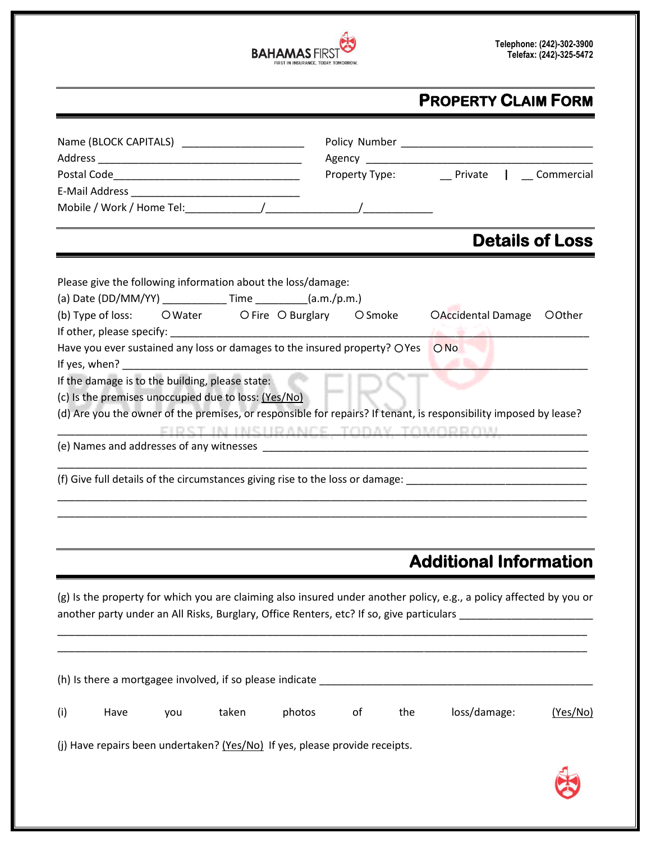

# **PROPERTY CLAIM FORM**

|                                                                              |      |     |                                                                                                                                                                                                                               |                                                                             |    |     | Property Type: __________ Private   ____ Commercial                                                                                                                                                             |                        |
|------------------------------------------------------------------------------|------|-----|-------------------------------------------------------------------------------------------------------------------------------------------------------------------------------------------------------------------------------|-----------------------------------------------------------------------------|----|-----|-----------------------------------------------------------------------------------------------------------------------------------------------------------------------------------------------------------------|------------------------|
|                                                                              |      |     |                                                                                                                                                                                                                               |                                                                             |    |     |                                                                                                                                                                                                                 |                        |
|                                                                              |      |     |                                                                                                                                                                                                                               |                                                                             |    |     |                                                                                                                                                                                                                 |                        |
|                                                                              |      |     |                                                                                                                                                                                                                               |                                                                             |    |     |                                                                                                                                                                                                                 | <b>Details of Loss</b> |
|                                                                              |      |     |                                                                                                                                                                                                                               | Please give the following information about the loss/damage:                |    |     |                                                                                                                                                                                                                 |                        |
|                                                                              |      |     |                                                                                                                                                                                                                               | (a) Date (DD/MM/YY) _____________Time _________(a.m./p.m.)                  |    |     |                                                                                                                                                                                                                 |                        |
| (b) Type of loss: OWater OFire OBurglary OSmoke<br>OAccidental Damage OOther |      |     |                                                                                                                                                                                                                               |                                                                             |    |     |                                                                                                                                                                                                                 |                        |
|                                                                              |      |     |                                                                                                                                                                                                                               | Have you ever sustained any loss or damages to the insured property? OYes   |    |     | ONO                                                                                                                                                                                                             |                        |
|                                                                              |      |     | If yes, when? The contract of the contract of the contract of the contract of the contract of the contract of the contract of the contract of the contract of the contract of the contract of the contract of the contract of |                                                                             |    |     |                                                                                                                                                                                                                 |                        |
|                                                                              |      |     | If the damage is to the building, please state:                                                                                                                                                                               |                                                                             |    |     |                                                                                                                                                                                                                 |                        |
|                                                                              |      |     | (c) Is the premises unoccupied due to loss: (Yes/No)                                                                                                                                                                          |                                                                             |    |     | (d) Are you the owner of the premises, or responsible for repairs? If tenant, is responsibility imposed by lease?                                                                                               |                        |
|                                                                              |      |     |                                                                                                                                                                                                                               |                                                                             |    |     | FIRST IN INSURANCE, TODAY, TOMORROW                                                                                                                                                                             |                        |
|                                                                              |      |     |                                                                                                                                                                                                                               |                                                                             |    |     |                                                                                                                                                                                                                 |                        |
|                                                                              |      |     |                                                                                                                                                                                                                               |                                                                             |    |     |                                                                                                                                                                                                                 |                        |
|                                                                              |      |     |                                                                                                                                                                                                                               |                                                                             |    |     |                                                                                                                                                                                                                 |                        |
|                                                                              |      |     |                                                                                                                                                                                                                               |                                                                             |    |     |                                                                                                                                                                                                                 |                        |
|                                                                              |      |     |                                                                                                                                                                                                                               |                                                                             |    |     |                                                                                                                                                                                                                 |                        |
|                                                                              |      |     |                                                                                                                                                                                                                               |                                                                             |    |     |                                                                                                                                                                                                                 |                        |
|                                                                              |      |     |                                                                                                                                                                                                                               |                                                                             |    |     |                                                                                                                                                                                                                 |                        |
|                                                                              |      |     |                                                                                                                                                                                                                               |                                                                             |    |     | <b>Additional Information</b>                                                                                                                                                                                   |                        |
|                                                                              |      |     |                                                                                                                                                                                                                               |                                                                             |    |     |                                                                                                                                                                                                                 |                        |
|                                                                              |      |     |                                                                                                                                                                                                                               |                                                                             |    |     | (g) Is the property for which you are claiming also insured under another policy, e.g., a policy affected by you or<br>another party under an All Risks, Burglary, Office Renters, etc? If so, give particulars |                        |
|                                                                              |      |     |                                                                                                                                                                                                                               |                                                                             |    |     |                                                                                                                                                                                                                 |                        |
|                                                                              |      |     |                                                                                                                                                                                                                               |                                                                             |    |     |                                                                                                                                                                                                                 |                        |
|                                                                              |      |     |                                                                                                                                                                                                                               |                                                                             |    |     |                                                                                                                                                                                                                 |                        |
|                                                                              |      |     |                                                                                                                                                                                                                               |                                                                             |    |     |                                                                                                                                                                                                                 |                        |
| (i)                                                                          | Have | you | taken                                                                                                                                                                                                                         | photos                                                                      | of | the | loss/damage:                                                                                                                                                                                                    | (Yes/No)               |
|                                                                              |      |     |                                                                                                                                                                                                                               | (j) Have repairs been undertaken? (Yes/No) If yes, please provide receipts. |    |     |                                                                                                                                                                                                                 |                        |
|                                                                              |      |     |                                                                                                                                                                                                                               |                                                                             |    |     |                                                                                                                                                                                                                 |                        |
|                                                                              |      |     |                                                                                                                                                                                                                               |                                                                             |    |     |                                                                                                                                                                                                                 |                        |
|                                                                              |      |     |                                                                                                                                                                                                                               |                                                                             |    |     |                                                                                                                                                                                                                 |                        |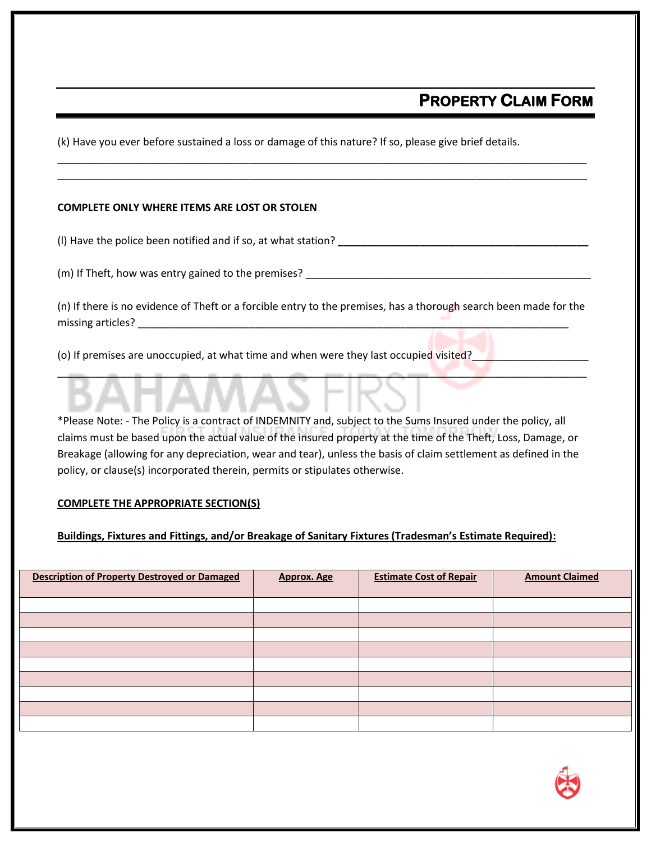## **PROPERTY CLAIM FORM**

(k) Have you ever before sustained a loss or damage of this nature? If so, please give brief details.

### **COMPLETE ONLY WHERE ITEMS ARE LOST OR STOLEN**

(l) Have the police been notified and if so, at what station? **\_\_\_\_\_\_\_\_\_\_\_\_\_\_\_\_\_\_\_\_\_\_\_\_\_\_\_\_\_\_\_\_\_\_\_\_\_\_\_\_\_\_\_**

 $(m)$  If Theft, how was entry gained to the premises?  $\frac{1}{2}$   $\frac{1}{2}$   $\frac{1}{2}$   $\frac{1}{2}$   $\frac{1}{2}$   $\frac{1}{2}$   $\frac{1}{2}$   $\frac{1}{2}$   $\frac{1}{2}$   $\frac{1}{2}$   $\frac{1}{2}$   $\frac{1}{2}$   $\frac{1}{2}$   $\frac{1}{2}$   $\frac{1}{2}$   $\frac{1}{2}$   $\frac{1}{2}$ 

(n) If there is no evidence of Theft or a forcible entry to the premises, has a thorough search been made for the missing articles?

\_\_\_\_\_\_\_\_\_\_\_\_\_\_\_\_\_\_\_\_\_\_\_\_\_\_\_\_\_\_\_\_\_\_\_\_\_\_\_\_\_\_\_\_\_\_\_\_\_\_\_\_\_\_\_\_\_\_\_\_\_\_\_\_\_\_\_\_\_\_\_\_\_\_\_\_\_\_\_\_\_\_\_\_\_\_\_\_\_\_\_

\_\_\_\_\_\_\_\_\_\_\_\_\_\_\_\_\_\_\_\_\_\_\_\_\_\_\_\_\_\_\_\_\_\_\_\_\_\_\_\_\_\_\_\_\_\_\_\_\_\_\_\_\_\_\_\_\_\_\_\_\_\_\_\_\_\_\_\_\_\_\_\_\_\_\_\_\_\_\_\_\_\_\_\_\_\_\_\_\_\_\_ \_\_\_\_\_\_\_\_\_\_\_\_\_\_\_\_\_\_\_\_\_\_\_\_\_\_\_\_\_\_\_\_\_\_\_\_\_\_\_\_\_\_\_\_\_\_\_\_\_\_\_\_\_\_\_\_\_\_\_\_\_\_\_\_\_\_\_\_\_\_\_\_\_\_\_\_\_\_\_\_\_\_\_\_\_\_\_\_\_\_\_

(o) If premises are unoccupied, at what time and when were they last occupied visited?

\*Please Note: - The Policy is a contract of INDEMNITY and, subject to the Sums Insured under the policy, all claims must be based upon the actual value of the insured property at the time of the Theft, Loss, Damage, or Breakage (allowing for any depreciation, wear and tear), unless the basis of claim settlement as defined in the policy, or clause(s) incorporated therein, permits or stipulates otherwise.

#### **COMPLETE THE APPROPRIATE SECTION(S)**

#### **Buildings, Fixtures and Fittings, and/or Breakage of Sanitary Fixtures (Tradesman's Estimate Required):**

| <b>Description of Property Destroyed or Damaged</b> | Approx. Age | <b>Estimate Cost of Repair</b> | <b>Amount Claimed</b> |
|-----------------------------------------------------|-------------|--------------------------------|-----------------------|
|                                                     |             |                                |                       |
|                                                     |             |                                |                       |
|                                                     |             |                                |                       |
|                                                     |             |                                |                       |
|                                                     |             |                                |                       |
|                                                     |             |                                |                       |
|                                                     |             |                                |                       |
|                                                     |             |                                |                       |
|                                                     |             |                                |                       |
|                                                     |             |                                |                       |